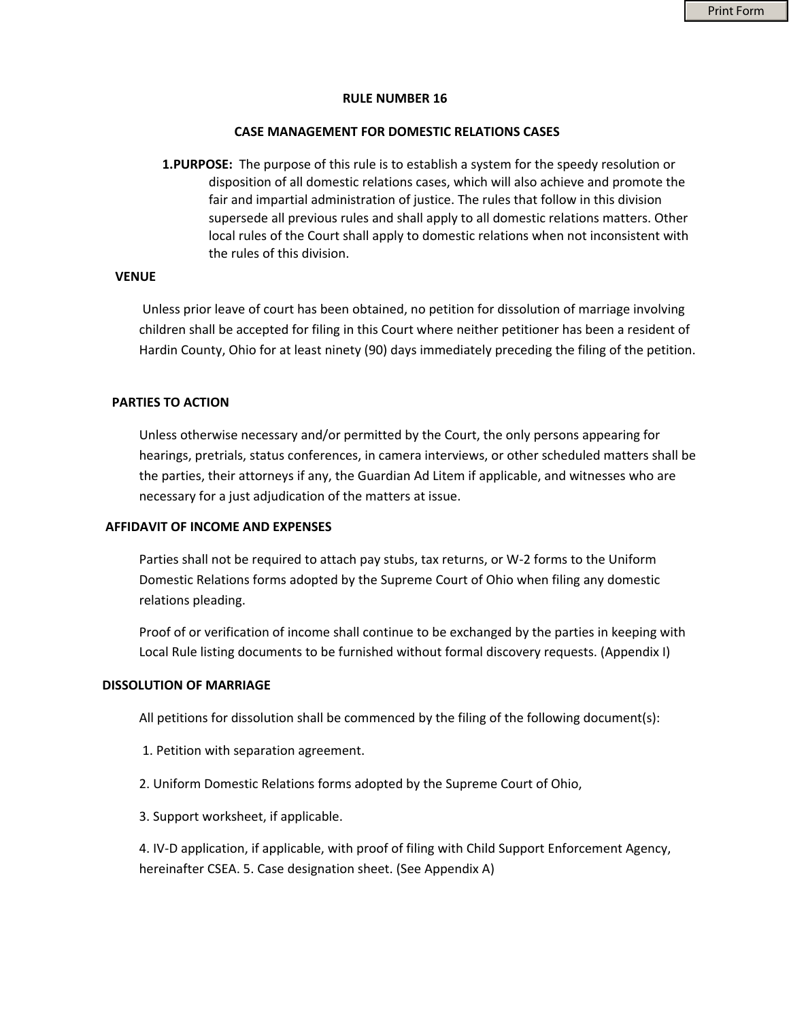### **RULE NUMBER 16**

#### **CASE MANAGEMENT FOR DOMESTIC RELATIONS CASES**

**1.PURPOSE:** The purpose of this rule is to establish a system for the speedy resolution or disposition of all domestic relations cases, which will also achieve and promote the fair and impartial administration of justice. The rules that follow in this division supersede all previous rules and shall apply to all domestic relations matters. Other local rules of the Court shall apply to domestic relations when not inconsistent with the rules of this division.

# **VENUE**

 Unless prior leave of court has been obtained, no petition for dissolution of marriage involving children shall be accepted for filing in this Court where neither petitioner has been a resident of Hardin County, Ohio for at least ninety (90) days immediately preceding the filing of the petition.

### **PARTIES TO ACTION**

Unless otherwise necessary and/or permitted by the Court, the only persons appearing for hearings, pretrials, status conferences, in camera interviews, or other scheduled matters shall be the parties, their attorneys if any, the Guardian Ad Litem if applicable, and witnesses who are necessary for a just adjudication of the matters at issue.

#### **AFFIDAVIT OF INCOME AND EXPENSES**

Parties shall not be required to attach pay stubs, tax returns, or W-2 forms to the Uniform Domestic Relations forms adopted by the Supreme Court of Ohio when filing any domestic relations pleading.

Proof of or verification of income shall continue to be exchanged by the parties in keeping with Local Rule listing documents to be furnished without formal discovery requests. (Appendix I)

#### **DISSOLUTION OF MARRIAGE**

All petitions for dissolution shall be commenced by the filing of the following document(s):

- 1. Petition with separation agreement.
- 2. Uniform Domestic Relations forms adopted by the Supreme Court of Ohio,
- 3. Support worksheet, if applicable.

4. IV-D application, if applicable, with proof of filing with Child Support Enforcement Agency, hereinafter CSEA. 5. Case designation sheet. (See Appendix A)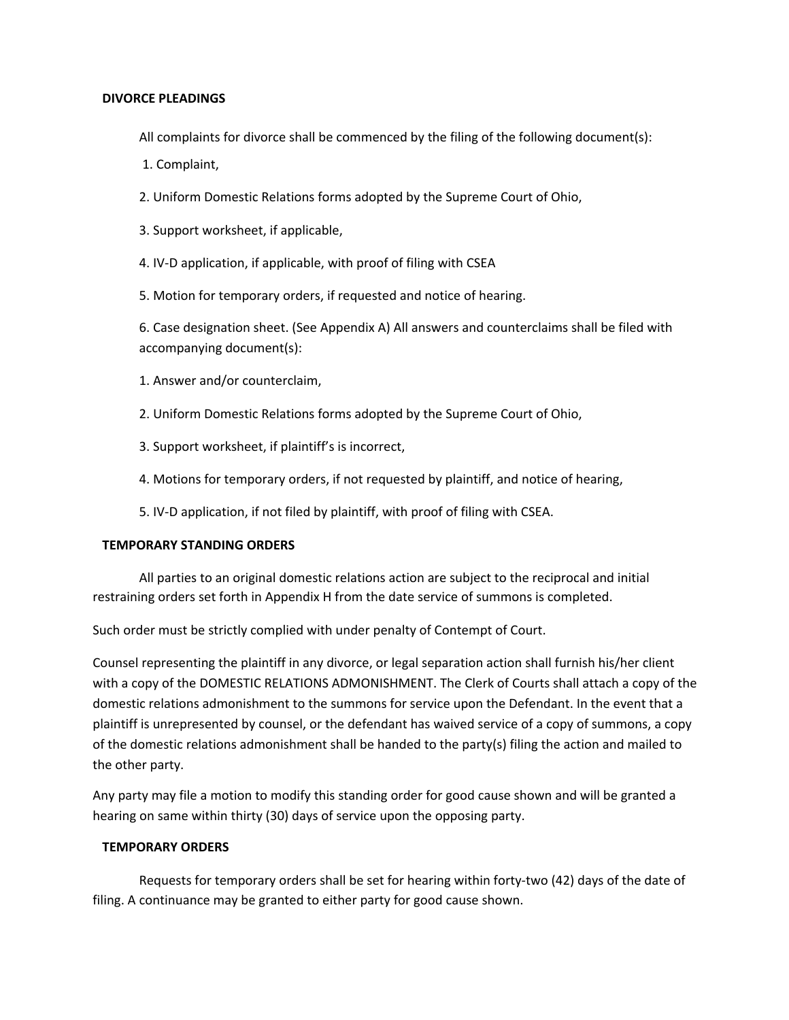## **DIVORCE PLEADINGS**

All complaints for divorce shall be commenced by the filing of the following document(s):

1. Complaint,

2. Uniform Domestic Relations forms adopted by the Supreme Court of Ohio,

3. Support worksheet, if applicable,

4. IV-D application, if applicable, with proof of filing with CSEA

5. Motion for temporary orders, if requested and notice of hearing.

6. Case designation sheet. (See Appendix A) All answers and counterclaims shall be filed with accompanying document(s):

- 1. Answer and/or counterclaim,
- 2. Uniform Domestic Relations forms adopted by the Supreme Court of Ohio,
- 3. Support worksheet, if plaintiff's is incorrect,
- 4. Motions for temporary orders, if not requested by plaintiff, and notice of hearing,

5. IV-D application, if not filed by plaintiff, with proof of filing with CSEA.

## **TEMPORARY STANDING ORDERS**

All parties to an original domestic relations action are subject to the reciprocal and initial restraining orders set forth in Appendix H from the date service of summons is completed.

Such order must be strictly complied with under penalty of Contempt of Court.

Counsel representing the plaintiff in any divorce, or legal separation action shall furnish his/her client with a copy of the DOMESTIC RELATIONS ADMONISHMENT. The Clerk of Courts shall attach a copy of the domestic relations admonishment to the summons for service upon the Defendant. In the event that a plaintiff is unrepresented by counsel, or the defendant has waived service of a copy of summons, a copy of the domestic relations admonishment shall be handed to the party(s) filing the action and mailed to the other party.

Any party may file a motion to modify this standing order for good cause shown and will be granted a hearing on same within thirty (30) days of service upon the opposing party.

### **TEMPORARY ORDERS**

Requests for temporary orders shall be set for hearing within forty-two (42) days of the date of filing. A continuance may be granted to either party for good cause shown.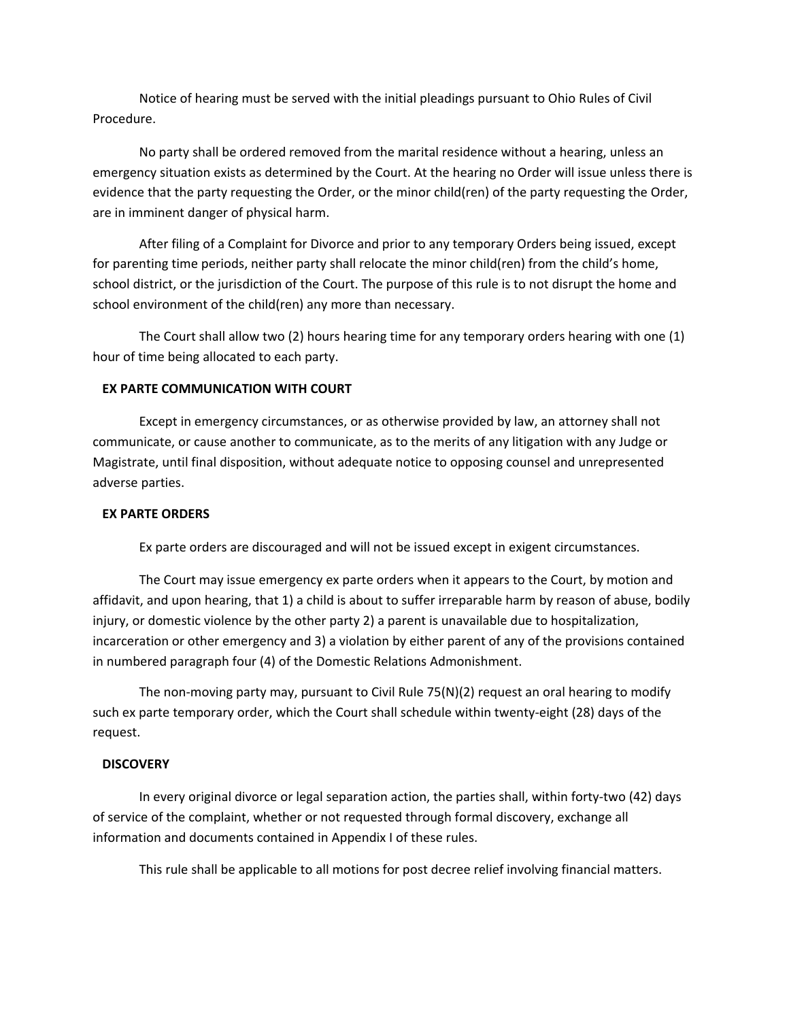Notice of hearing must be served with the initial pleadings pursuant to Ohio Rules of Civil Procedure.

No party shall be ordered removed from the marital residence without a hearing, unless an emergency situation exists as determined by the Court. At the hearing no Order will issue unless there is evidence that the party requesting the Order, or the minor child(ren) of the party requesting the Order, are in imminent danger of physical harm.

After filing of a Complaint for Divorce and prior to any temporary Orders being issued, except for parenting time periods, neither party shall relocate the minor child(ren) from the child's home, school district, or the jurisdiction of the Court. The purpose of this rule is to not disrupt the home and school environment of the child(ren) any more than necessary.

The Court shall allow two (2) hours hearing time for any temporary orders hearing with one (1) hour of time being allocated to each party.

# **EX PARTE COMMUNICATION WITH COURT**

Except in emergency circumstances, or as otherwise provided by law, an attorney shall not communicate, or cause another to communicate, as to the merits of any litigation with any Judge or Magistrate, until final disposition, without adequate notice to opposing counsel and unrepresented adverse parties.

# **EX PARTE ORDERS**

Ex parte orders are discouraged and will not be issued except in exigent circumstances.

The Court may issue emergency ex parte orders when it appears to the Court, by motion and affidavit, and upon hearing, that 1) a child is about to suffer irreparable harm by reason of abuse, bodily injury, or domestic violence by the other party 2) a parent is unavailable due to hospitalization, incarceration or other emergency and 3) a violation by either parent of any of the provisions contained in numbered paragraph four (4) of the Domestic Relations Admonishment.

The non-moving party may, pursuant to Civil Rule 75(N)(2) request an oral hearing to modify such ex parte temporary order, which the Court shall schedule within twenty-eight (28) days of the request.

### **DISCOVERY**

In every original divorce or legal separation action, the parties shall, within forty-two (42) days of service of the complaint, whether or not requested through formal discovery, exchange all information and documents contained in Appendix I of these rules.

This rule shall be applicable to all motions for post decree relief involving financial matters.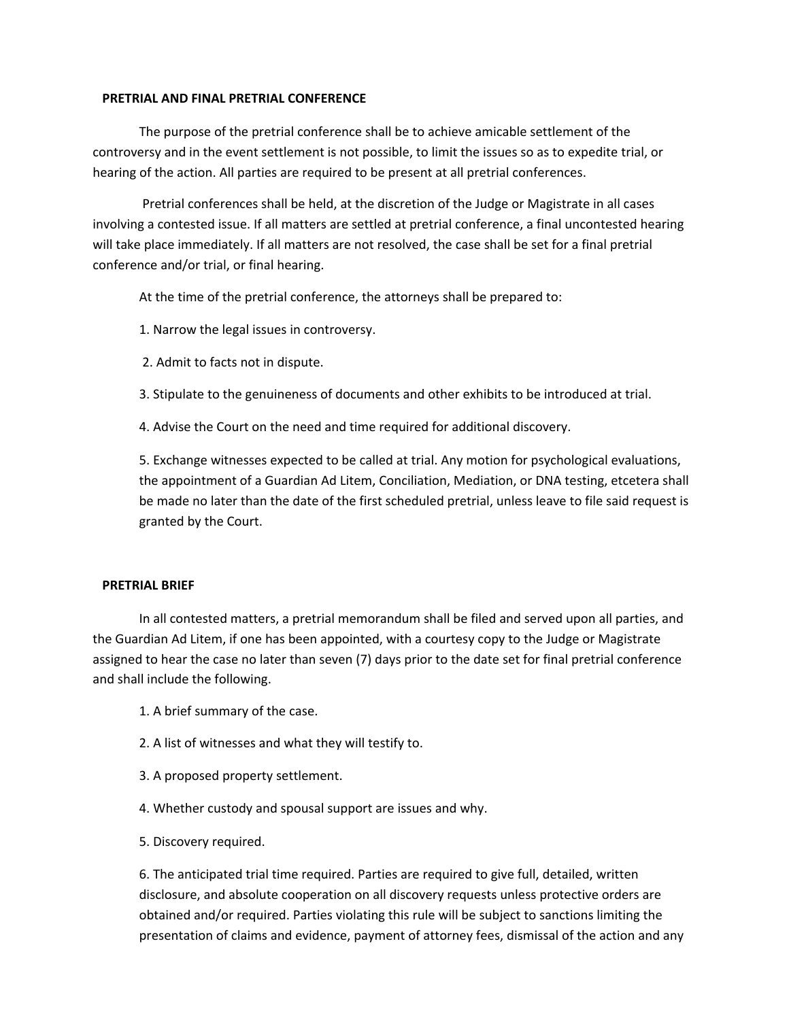### **PRETRIAL AND FINAL PRETRIAL CONFERENCE**

The purpose of the pretrial conference shall be to achieve amicable settlement of the controversy and in the event settlement is not possible, to limit the issues so as to expedite trial, or hearing of the action. All parties are required to be present at all pretrial conferences.

 Pretrial conferences shall be held, at the discretion of the Judge or Magistrate in all cases involving a contested issue. If all matters are settled at pretrial conference, a final uncontested hearing will take place immediately. If all matters are not resolved, the case shall be set for a final pretrial conference and/or trial, or final hearing.

At the time of the pretrial conference, the attorneys shall be prepared to:

1. Narrow the legal issues in controversy.

2. Admit to facts not in dispute.

3. Stipulate to the genuineness of documents and other exhibits to be introduced at trial.

4. Advise the Court on the need and time required for additional discovery.

5. Exchange witnesses expected to be called at trial. Any motion for psychological evaluations, the appointment of a Guardian Ad Litem, Conciliation, Mediation, or DNA testing, etcetera shall be made no later than the date of the first scheduled pretrial, unless leave to file said request is granted by the Court.

### **PRETRIAL BRIEF**

In all contested matters, a pretrial memorandum shall be filed and served upon all parties, and the Guardian Ad Litem, if one has been appointed, with a courtesy copy to the Judge or Magistrate assigned to hear the case no later than seven (7) days prior to the date set for final pretrial conference and shall include the following.

- 1. A brief summary of the case.
- 2. A list of witnesses and what they will testify to.
- 3. A proposed property settlement.
- 4. Whether custody and spousal support are issues and why.
- 5. Discovery required.

6. The anticipated trial time required. Parties are required to give full, detailed, written disclosure, and absolute cooperation on all discovery requests unless protective orders are obtained and/or required. Parties violating this rule will be subject to sanctions limiting the presentation of claims and evidence, payment of attorney fees, dismissal of the action and any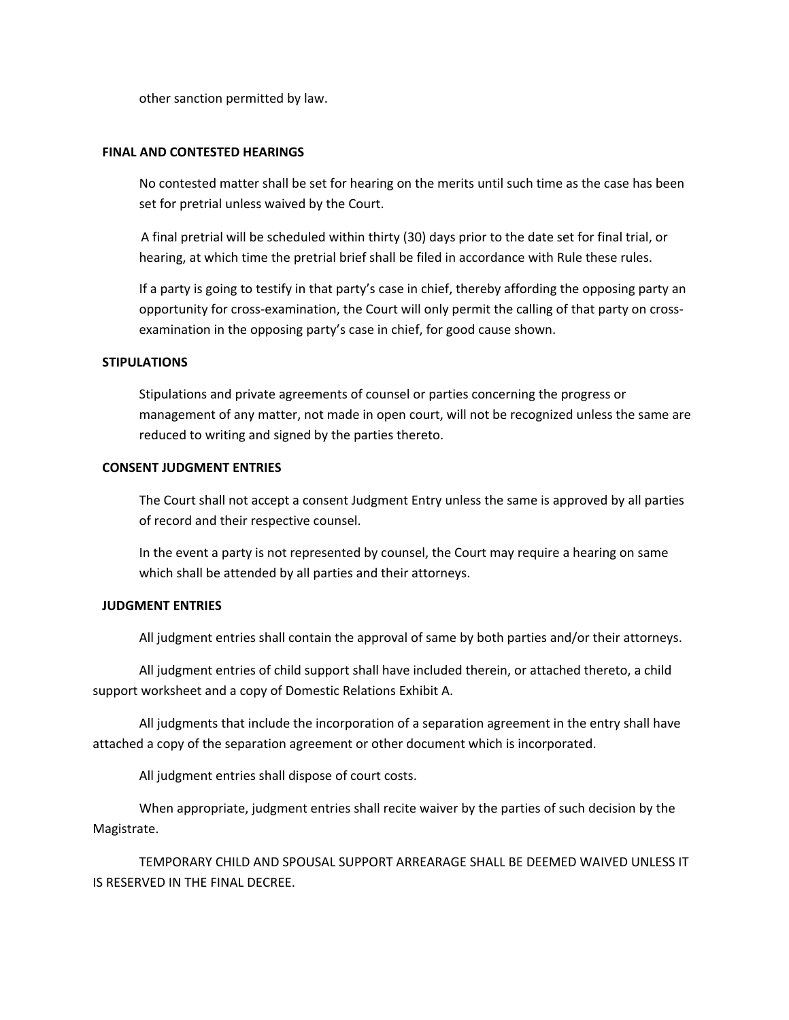other sanction permitted by law.

## **FINAL AND CONTESTED HEARINGS**

No contested matter shall be set for hearing on the merits until such time as the case has been set for pretrial unless waived by the Court.

A final pretrial will be scheduled within thirty (30) days prior to the date set for final trial, or hearing, at which time the pretrial brief shall be filed in accordance with Rule these rules.

If a party is going to testify in that party's case in chief, thereby affording the opposing party an opportunity for cross-examination, the Court will only permit the calling of that party on crossexamination in the opposing party's case in chief, for good cause shown.

## **STIPULATIONS**

Stipulations and private agreements of counsel or parties concerning the progress or management of any matter, not made in open court, will not be recognized unless the same are reduced to writing and signed by the parties thereto.

## **CONSENT JUDGMENT ENTRIES**

The Court shall not accept a consent Judgment Entry unless the same is approved by all parties of record and their respective counsel.

In the event a party is not represented by counsel, the Court may require a hearing on same which shall be attended by all parties and their attorneys.

# **JUDGMENT ENTRIES**

All judgment entries shall contain the approval of same by both parties and/or their attorneys.

All judgment entries of child support shall have included therein, or attached thereto, a child support worksheet and a copy of Domestic Relations Exhibit A.

All judgments that include the incorporation of a separation agreement in the entry shall have attached a copy of the separation agreement or other document which is incorporated.

All judgment entries shall dispose of court costs.

When appropriate, judgment entries shall recite waiver by the parties of such decision by the Magistrate.

TEMPORARY CHILD AND SPOUSAL SUPPORT ARREARAGE SHALL BE DEEMED WAIVED UNLESS IT IS RESERVED IN THE FINAL DECREE.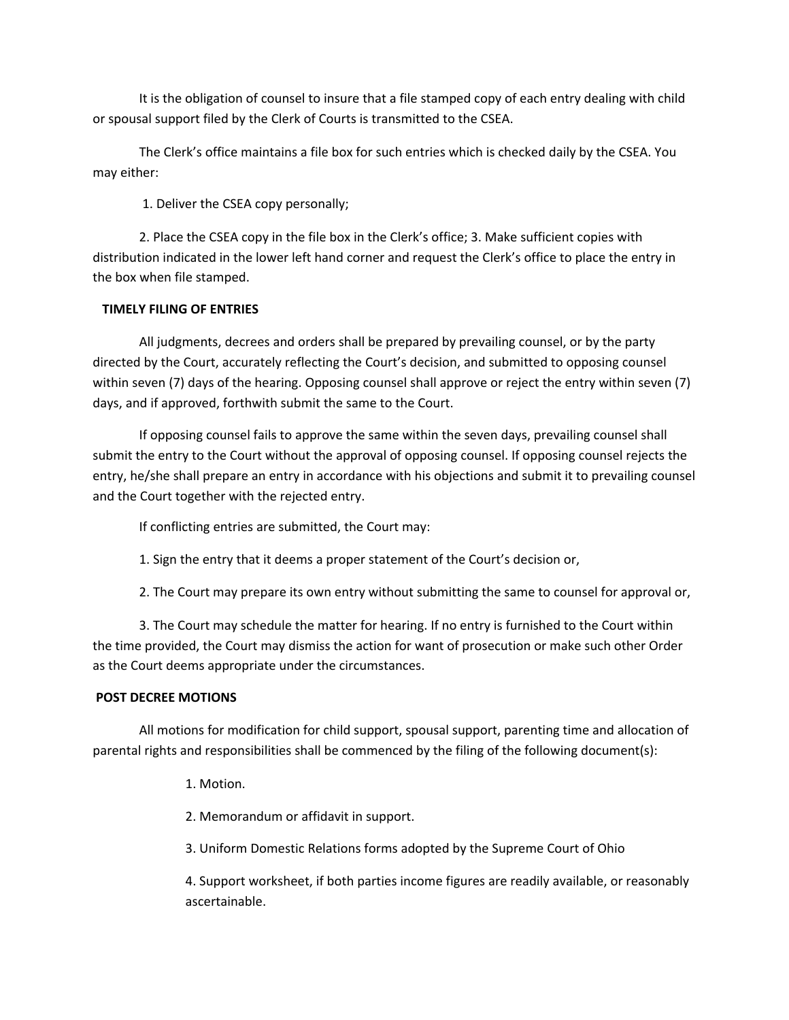It is the obligation of counsel to insure that a file stamped copy of each entry dealing with child or spousal support filed by the Clerk of Courts is transmitted to the CSEA.

The Clerk's office maintains a file box for such entries which is checked daily by the CSEA. You may either:

1. Deliver the CSEA copy personally;

2. Place the CSEA copy in the file box in the Clerk's office; 3. Make sufficient copies with distribution indicated in the lower left hand corner and request the Clerk's office to place the entry in the box when file stamped.

# **TIMELY FILING OF ENTRIES**

All judgments, decrees and orders shall be prepared by prevailing counsel, or by the party directed by the Court, accurately reflecting the Court's decision, and submitted to opposing counsel within seven (7) days of the hearing. Opposing counsel shall approve or reject the entry within seven (7) days, and if approved, forthwith submit the same to the Court.

If opposing counsel fails to approve the same within the seven days, prevailing counsel shall submit the entry to the Court without the approval of opposing counsel. If opposing counsel rejects the entry, he/she shall prepare an entry in accordance with his objections and submit it to prevailing counsel and the Court together with the rejected entry.

If conflicting entries are submitted, the Court may:

1. Sign the entry that it deems a proper statement of the Court's decision or,

2. The Court may prepare its own entry without submitting the same to counsel for approval or,

3. The Court may schedule the matter for hearing. If no entry is furnished to the Court within the time provided, the Court may dismiss the action for want of prosecution or make such other Order as the Court deems appropriate under the circumstances.

# **POST DECREE MOTIONS**

All motions for modification for child support, spousal support, parenting time and allocation of parental rights and responsibilities shall be commenced by the filing of the following document(s):

1. Motion.

2. Memorandum or affidavit in support.

3. Uniform Domestic Relations forms adopted by the Supreme Court of Ohio

4. Support worksheet, if both parties income figures are readily available, or reasonably ascertainable.